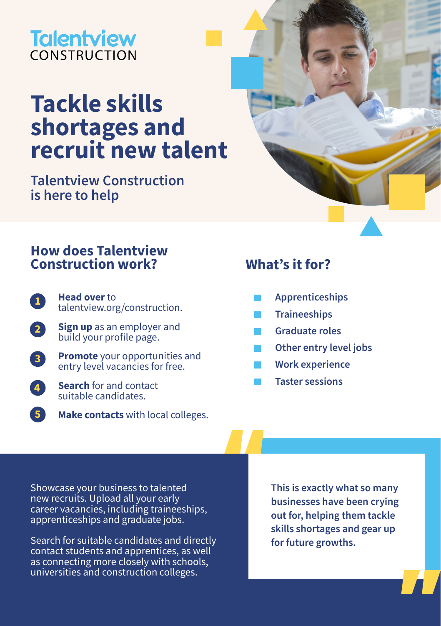## **Talentview** CONSTRUCTION

# **Tackle skills shortages and recruit new talent**

**Talentview Construction is here to help** 

### **How does Talentview Construction work? What's it for?**

- **Head over** to [talentview.org/construction](http://talentview.org/construction). **1**
- **Sign up** as an employer and build your profile page. **2**
- **Promote** your opportunities and entry level vacancies for free. **3**
- **Search** for and contact suitable candidates. **4**
- **Make contacts** with local colleges. **5**

- **Apprenticeships**
- **Traineeships**
- **Graduate roles**
- **Other entry level jobs**
- **Work experience**
- **Taster sessions**

Showcase your business to talented new recruits. Upload all your early career vacancies, including traineeships, apprenticeships and graduate jobs.

Search for suitable candidates and directly contact students and apprentices, as well as connecting more closely with schools, universities and construction colleges.

**This is exactly what so many businesses have been crying out for, helping them tackle skills shortages and gear up for future growths.**